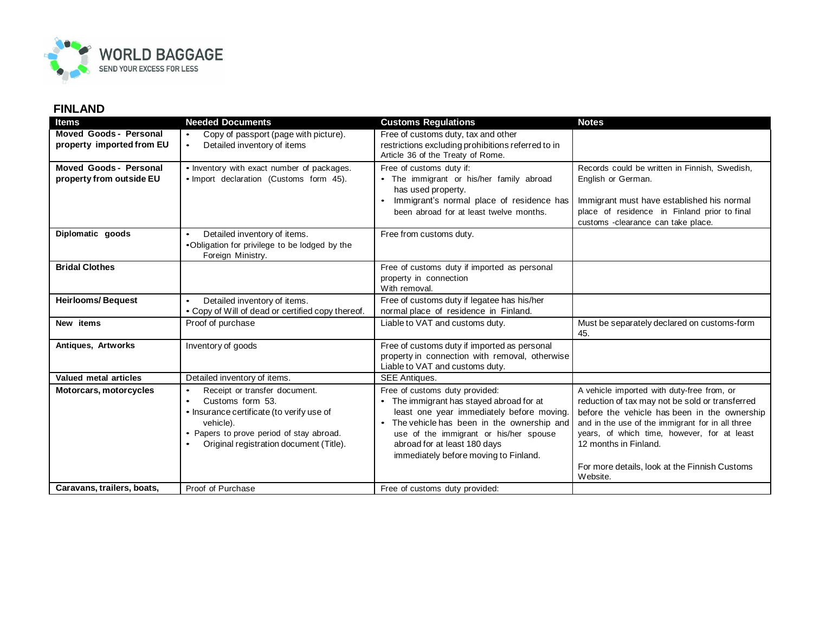

## **FINLAND**

| <b>Items</b>                                        | <b>Needed Documents</b>                                                                                                                                                                                                    | <b>Customs Regulations</b>                                                                                                                                                                                                                                                                | <b>Notes</b>                                                                                                                                                                                                                                                                                                               |
|-----------------------------------------------------|----------------------------------------------------------------------------------------------------------------------------------------------------------------------------------------------------------------------------|-------------------------------------------------------------------------------------------------------------------------------------------------------------------------------------------------------------------------------------------------------------------------------------------|----------------------------------------------------------------------------------------------------------------------------------------------------------------------------------------------------------------------------------------------------------------------------------------------------------------------------|
| Moved Goods - Personal<br>property imported from EU | Copy of passport (page with picture).<br>$\bullet$<br>Detailed inventory of items<br>$\bullet$                                                                                                                             | Free of customs duty, tax and other<br>restrictions excluding prohibitions referred to in<br>Article 36 of the Treaty of Rome.                                                                                                                                                            |                                                                                                                                                                                                                                                                                                                            |
| Moved Goods - Personal<br>property from outside EU  | • Inventory with exact number of packages.<br>• Import declaration (Customs form 45).                                                                                                                                      | Free of customs duty if:<br>• The immigrant or his/her family abroad<br>has used property.<br>Immigrant's normal place of residence has<br>$\bullet$<br>been abroad for at least twelve months.                                                                                           | Records could be written in Finnish, Swedish,<br>English or German.<br>Immigrant must have established his normal<br>place of residence in Finland prior to final<br>customs -clearance can take place.                                                                                                                    |
| Diplomatic goods                                    | Detailed inventory of items.<br>$\bullet$<br>•Obligation for privilege to be lodged by the<br>Foreign Ministry.                                                                                                            | Free from customs duty.                                                                                                                                                                                                                                                                   |                                                                                                                                                                                                                                                                                                                            |
| <b>Bridal Clothes</b>                               |                                                                                                                                                                                                                            | Free of customs duty if imported as personal<br>property in connection<br>With removal.                                                                                                                                                                                                   |                                                                                                                                                                                                                                                                                                                            |
| <b>Heirlooms/Bequest</b>                            | Detailed inventory of items.<br>$\bullet$<br>• Copy of Will of dead or certified copy thereof.                                                                                                                             | Free of customs duty if legatee has his/her<br>normal place of residence in Finland.                                                                                                                                                                                                      |                                                                                                                                                                                                                                                                                                                            |
| New items                                           | Proof of purchase                                                                                                                                                                                                          | Liable to VAT and customs duty.                                                                                                                                                                                                                                                           | Must be separately declared on customs-form<br>45.                                                                                                                                                                                                                                                                         |
| Antiques, Artworks                                  | Inventory of goods                                                                                                                                                                                                         | Free of customs duty if imported as personal<br>property in connection with removal, otherwise<br>Liable to VAT and customs duty.                                                                                                                                                         |                                                                                                                                                                                                                                                                                                                            |
| Valued metal articles                               | Detailed inventory of items.                                                                                                                                                                                               | <b>SEE Antiques.</b>                                                                                                                                                                                                                                                                      |                                                                                                                                                                                                                                                                                                                            |
| Motorcars, motorcycles                              | Receipt or transfer document.<br>$\bullet$<br>Customs form 53.<br>$\bullet$<br>• Insurance certificate (to verify use of<br>vehicle).<br>Papers to prove period of stay abroad.<br>Original registration document (Title). | Free of customs duty provided:<br>• The immigrant has stayed abroad for at<br>least one year immediately before moving.<br>• The vehicle has been in the ownership and<br>use of the immigrant or his/her spouse<br>abroad for at least 180 days<br>immediately before moving to Finland. | A vehicle imported with duty-free from, or<br>reduction of tax may not be sold or transferred<br>before the vehicle has been in the ownership<br>and in the use of the immigrant for in all three<br>years, of which time, however, for at least<br>12 months in Finland.<br>For more details, look at the Finnish Customs |
|                                                     |                                                                                                                                                                                                                            |                                                                                                                                                                                                                                                                                           | Website.                                                                                                                                                                                                                                                                                                                   |
| Caravans, trailers, boats,                          | Proof of Purchase                                                                                                                                                                                                          | Free of customs duty provided:                                                                                                                                                                                                                                                            |                                                                                                                                                                                                                                                                                                                            |